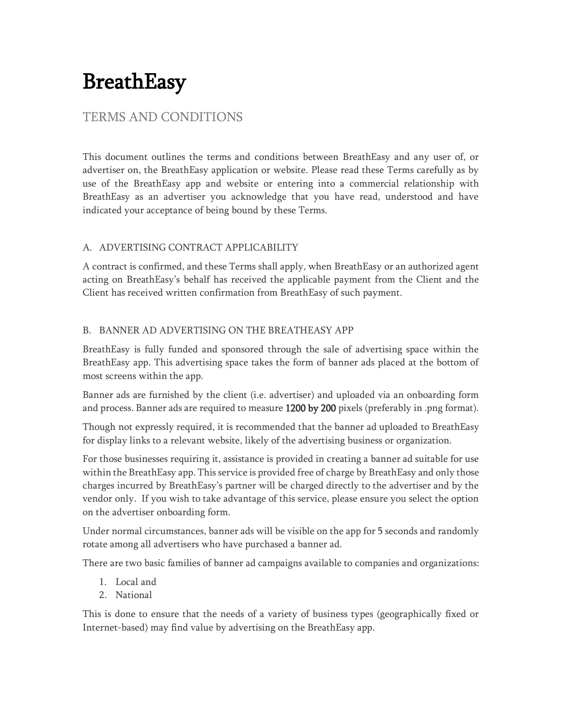# BreathEasy

# TERMS AND CONDITIONS

This document outlines the terms and conditions between BreathEasy and any user of, or advertiser on, the BreathEasy application or website. Please read these Terms carefully as by use of the BreathEasy app and website or entering into a commercial relationship with BreathEasy as an advertiser you acknowledge that you have read, understood and have indicated your acceptance of being bound by these Terms.

# A. ADVERTISING CONTRACT APPLICABILITY

A contract is confirmed, and these Terms shall apply, when BreathEasy or an authorized agent acting on BreathEasy's behalf has received the applicable payment from the Client and the Client has received written confirmation from BreathEasy of such payment.

## B. BANNER AD ADVERTISING ON THE BREATHEASY APP

BreathEasy is fully funded and sponsored through the sale of advertising space within the BreathEasy app. This advertising space takes the form of banner ads placed at the bottom of most screens within the app.

Banner ads are furnished by the client (i.e. advertiser) and uploaded via an onboarding form and process. Banner ads are required to measure 1200 by 200 pixels (preferably in .png format).

Though not expressly required, it is recommended that the banner ad uploaded to BreathEasy for display links to a relevant website, likely of the advertising business or organization.

For those businesses requiring it, assistance is provided in creating a banner ad suitable for use within the BreathEasy app. This service is provided free of charge by BreathEasy and only those charges incurred by BreathEasy's partner will be charged directly to the advertiser and by the vendor only. If you wish to take advantage of this service, please ensure you select the option on the advertiser onboarding form.

Under normal circumstances, banner ads will be visible on the app for 5 seconds and randomly rotate among all advertisers who have purchased a banner ad.

There are two basic families of banner ad campaigns available to companies and organizations:

- 1. Local and
- 2. National

This is done to ensure that the needs of a variety of business types (geographically fixed or Internet-based) may find value by advertising on the BreathEasy app.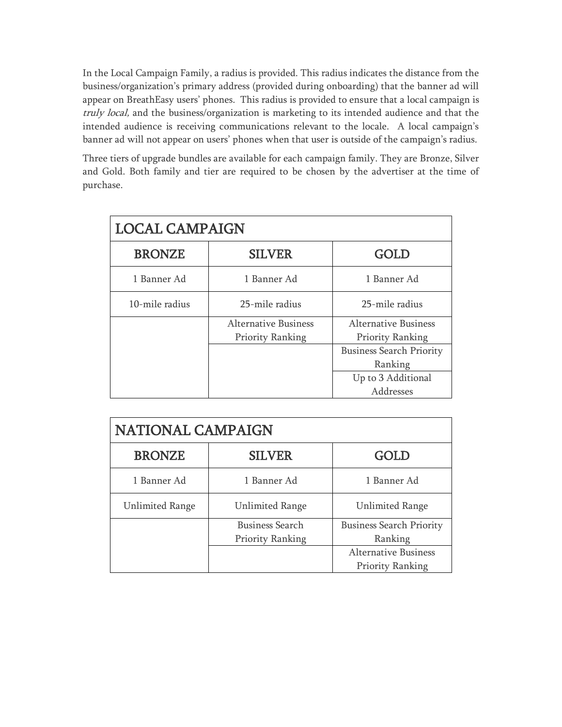In the Local Campaign Family, a radius is provided. This radius indicates the distance from the business/organization's primary address (provided during onboarding) that the banner ad will appear on BreathEasy users' phones. This radius is provided to ensure that a local campaign is truly local, and the business/organization is marketing to its intended audience and that the intended audience is receiving communications relevant to the locale. A local campaign's banner ad will not appear on users' phones when that user is outside of the campaign's radius.

Three tiers of upgrade bundles are available for each campaign family. They are Bronze, Silver and Gold. Both family and tier are required to be chosen by the advertiser at the time of purchase.

| <b>LOCAL CAMPAIGN</b> |                             |                                 |  |
|-----------------------|-----------------------------|---------------------------------|--|
| <b>BRONZE</b>         | <b>SILVER</b>               | GOLD                            |  |
| 1 Banner Ad           | 1 Banner Ad                 | 1 Banner Ad                     |  |
| 10-mile radius        | 25-mile radius              | 25-mile radius                  |  |
|                       | <b>Alternative Business</b> | <b>Alternative Business</b>     |  |
|                       | Priority Ranking            | Priority Ranking                |  |
|                       |                             | <b>Business Search Priority</b> |  |
|                       |                             | Ranking                         |  |
|                       |                             | Up to 3 Additional              |  |
|                       |                             | Addresses                       |  |

| <b>NATIONAL CAMPAIGN</b> |                         |                                 |  |
|--------------------------|-------------------------|---------------------------------|--|
| <b>BRONZE</b>            | <b>SILVER</b>           | GOLD                            |  |
| 1 Banner Ad              | 1 Banner Ad             | 1 Banner Ad                     |  |
| <b>Unlimited Range</b>   | <b>Unlimited Range</b>  | <b>Unlimited Range</b>          |  |
|                          | <b>Business Search</b>  | <b>Business Search Priority</b> |  |
|                          | <b>Priority Ranking</b> | Ranking                         |  |
|                          |                         | <b>Alternative Business</b>     |  |
|                          |                         | <b>Priority Ranking</b>         |  |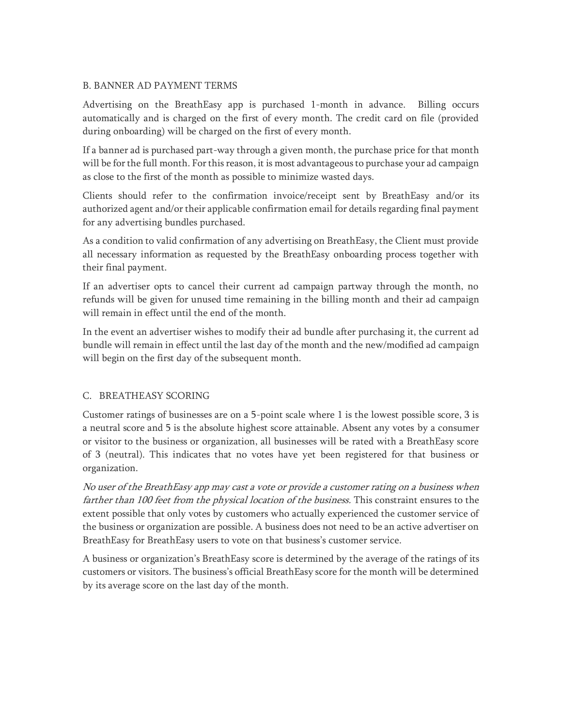#### B. BANNER AD PAYMENT TERMS

Advertising on the BreathEasy app is purchased 1-month in advance. Billing occurs automatically and is charged on the first of every month. The credit card on file (provided during onboarding) will be charged on the first of every month.

If a banner ad is purchased part-way through a given month, the purchase price for that month will be for the full month. For this reason, it is most advantageous to purchase your ad campaign as close to the first of the month as possible to minimize wasted days.

Clients should refer to the confirmation invoice/receipt sent by BreathEasy and/or its authorized agent and/or their applicable confirmation email for details regarding final payment for any advertising bundles purchased.

As a condition to valid confirmation of any advertising on BreathEasy, the Client must provide all necessary information as requested by the BreathEasy onboarding process together with their final payment.

If an advertiser opts to cancel their current ad campaign partway through the month, no refunds will be given for unused time remaining in the billing month and their ad campaign will remain in effect until the end of the month.

In the event an advertiser wishes to modify their ad bundle after purchasing it, the current ad bundle will remain in effect until the last day of the month and the new/modified ad campaign will begin on the first day of the subsequent month.

#### C. BREATHEASY SCORING

Customer ratings of businesses are on a 5-point scale where 1 is the lowest possible score, 3 is a neutral score and 5 is the absolute highest score attainable. Absent any votes by a consumer or visitor to the business or organization, all businesses will be rated with a BreathEasy score of 3 (neutral). This indicates that no votes have yet been registered for that business or organization.

No user of the BreathEasy app may cast a vote or provide a customer rating on a business when farther than 100 feet from the physical location of the business. This constraint ensures to the extent possible that only votes by customers who actually experienced the customer service of the business or organization are possible. A business does not need to be an active advertiser on BreathEasy for BreathEasy users to vote on that business's customer service.

A business or organization's BreathEasy score is determined by the average of the ratings of its customers or visitors. The business's official BreathEasy score for the month will be determined by its average score on the last day of the month.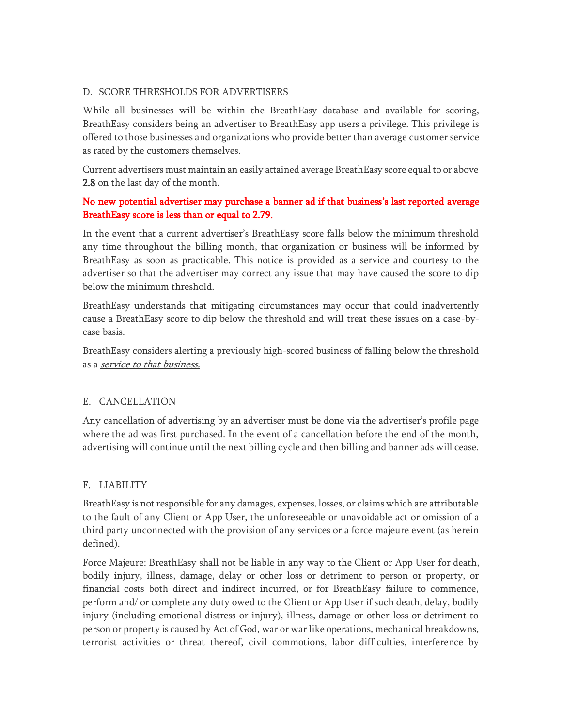#### D. SCORE THRESHOLDS FOR ADVERTISERS

While all businesses will be within the BreathEasy database and available for scoring, BreathEasy considers being an advertiser to BreathEasy app users a privilege. This privilege is offered to those businesses and organizations who provide better than average customer service as rated by the customers themselves.

Current advertisers must maintain an easily attained average BreathEasy score equal to or above 2.8 on the last day of the month.

## No new potential advertiser may purchase a banner ad if that business's last reported average BreathEasy score is less than or equal to 2.79.

In the event that a current advertiser's BreathEasy score falls below the minimum threshold any time throughout the billing month, that organization or business will be informed by BreathEasy as soon as practicable. This notice is provided as a service and courtesy to the advertiser so that the advertiser may correct any issue that may have caused the score to dip below the minimum threshold.

BreathEasy understands that mitigating circumstances may occur that could inadvertently cause a BreathEasy score to dip below the threshold and will treat these issues on a case-bycase basis.

BreathEasy considers alerting a previously high-scored business of falling below the threshold as a service to that business.

#### E. CANCELLATION

Any cancellation of advertising by an advertiser must be done via the advertiser's profile page where the ad was first purchased. In the event of a cancellation before the end of the month, advertising will continue until the next billing cycle and then billing and banner ads will cease.

#### F. LIABILITY

BreathEasy is not responsible for any damages, expenses, losses, or claims which are attributable to the fault of any Client or App User, the unforeseeable or unavoidable act or omission of a third party unconnected with the provision of any services or a force majeure event (as herein defined).

Force Majeure: BreathEasy shall not be liable in any way to the Client or App User for death, bodily injury, illness, damage, delay or other loss or detriment to person or property, or financial costs both direct and indirect incurred, or for BreathEasy failure to commence, perform and/ or complete any duty owed to the Client or App User if such death, delay, bodily injury (including emotional distress or injury), illness, damage or other loss or detriment to person or property is caused by Act of God, war or war like operations, mechanical breakdowns, terrorist activities or threat thereof, civil commotions, labor difficulties, interference by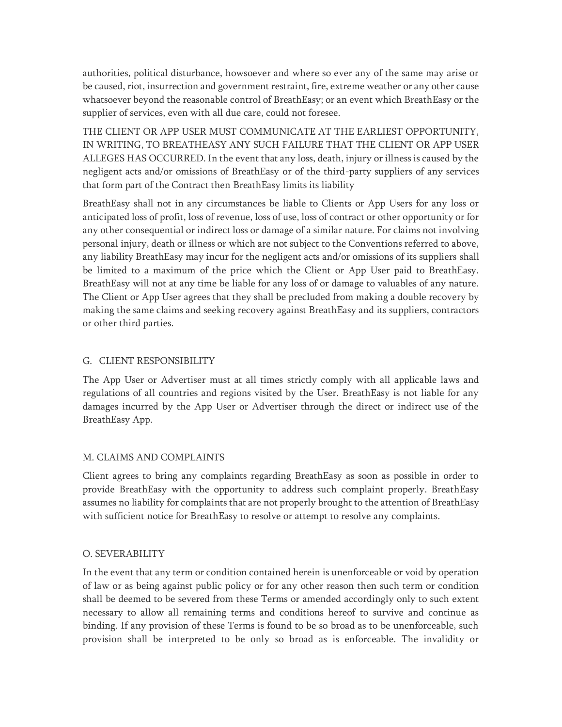authorities, political disturbance, howsoever and where so ever any of the same may arise or be caused, riot, insurrection and government restraint, fire, extreme weather or any other cause whatsoever beyond the reasonable control of BreathEasy; or an event which BreathEasy or the supplier of services, even with all due care, could not foresee.

THE CLIENT OR APP USER MUST COMMUNICATE AT THE EARLIEST OPPORTUNITY, IN WRITING, TO BREATHEASY ANY SUCH FAILURE THAT THE CLIENT OR APP USER ALLEGES HAS OCCURRED. In the event that any loss, death, injury or illness is caused by the negligent acts and/or omissions of BreathEasy or of the third-party suppliers of any services that form part of the Contract then BreathEasy limits its liability

BreathEasy shall not in any circumstances be liable to Clients or App Users for any loss or anticipated loss of profit, loss of revenue, loss of use, loss of contract or other opportunity or for any other consequential or indirect loss or damage of a similar nature. For claims not involving personal injury, death or illness or which are not subject to the Conventions referred to above, any liability BreathEasy may incur for the negligent acts and/or omissions of its suppliers shall be limited to a maximum of the price which the Client or App User paid to BreathEasy. BreathEasy will not at any time be liable for any loss of or damage to valuables of any nature. The Client or App User agrees that they shall be precluded from making a double recovery by making the same claims and seeking recovery against BreathEasy and its suppliers, contractors or other third parties.

#### G. CLIENT RESPONSIBILITY

The App User or Advertiser must at all times strictly comply with all applicable laws and regulations of all countries and regions visited by the User. BreathEasy is not liable for any damages incurred by the App User or Advertiser through the direct or indirect use of the BreathEasy App.

#### M. CLAIMS AND COMPLAINTS

Client agrees to bring any complaints regarding BreathEasy as soon as possible in order to provide BreathEasy with the opportunity to address such complaint properly. BreathEasy assumes no liability for complaints that are not properly brought to the attention of BreathEasy with sufficient notice for BreathEasy to resolve or attempt to resolve any complaints.

#### O. SEVERABILITY

In the event that any term or condition contained herein is unenforceable or void by operation of law or as being against public policy or for any other reason then such term or condition shall be deemed to be severed from these Terms or amended accordingly only to such extent necessary to allow all remaining terms and conditions hereof to survive and continue as binding. If any provision of these Terms is found to be so broad as to be unenforceable, such provision shall be interpreted to be only so broad as is enforceable. The invalidity or